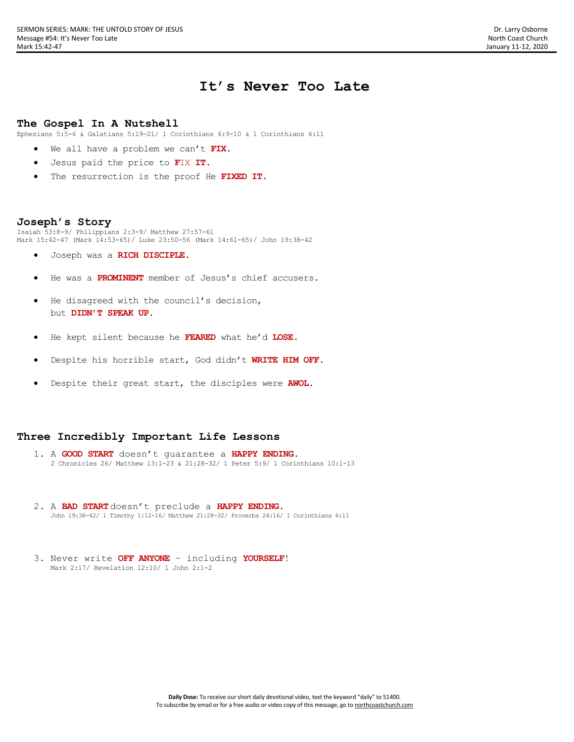# **It's Never Too Late**

#### **The Gospel In A Nutshell**

Ephesians 5:5-6 & Galatians 5:19-21/ 1 Corinthians 6:9-10 & 1 Corinthians 6:11

- We all have a problem we can't **FIX**.
- Jesus paid the price to **F**IX **IT**.
- The resurrection is the proof He **FIXED IT**.

#### **Joseph's Story**

Isaiah 53:8-9/ Philippians 2:3-9/ Matthew 27:57-61 Mark 15:42-47 (Mark 14:53-65)/ Luke 23:50-56 (Mark 14:61-65)/ John 19:38-42

- Joseph was a **RICH DISCIPLE.**
- He was a **PROMINENT** member of Jesus's chief accusers.
- He disagreed with the council's decision, but **DIDN'T SPEAK UP**.
- He kept silent because he **FEARED** what he'd **LOSE**.
- Despite his horrible start, God didn't **WRITE HIM OFF**.
- Despite their great start, the disciples were **AWOL**.

### **Three Incredibly Important Life Lessons**

- 1. A **GOOD START** doesn't guarantee a **HAPPY ENDING**. 2 Chronicles 26/ Matthew 13:1-23 & 21:28-32/ 1 Peter 5:9/ 1 Corinthians 10:1-13
- 2. A **BAD START**doesn't preclude a **HAPPY ENDING**. John 19:38-42/ 1 Timothy 1:12-16/ Matthew 21:28-32/ Proverbs 24:16/ 1 Corinthians 6:11
- 3. Never write **OFF ANYONE** including **YOURSELF**! Mark 2:17/ Revelation 12:10/ 1 John 2:1-2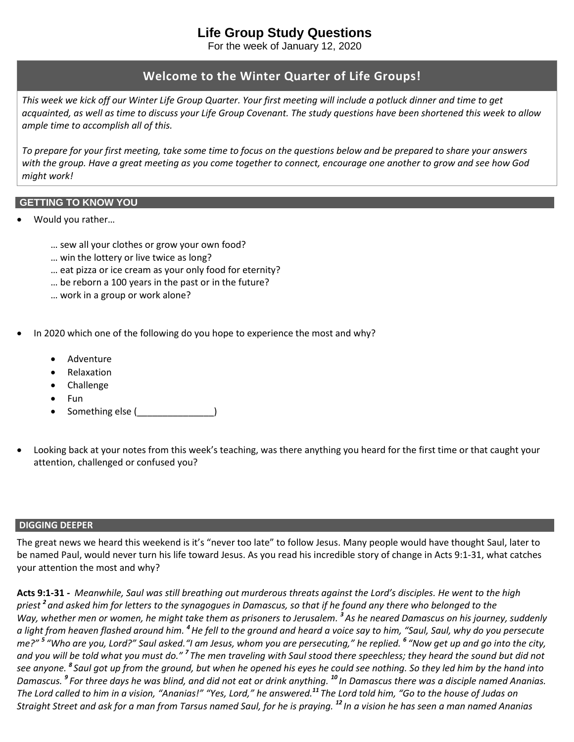# **Life Group Study Questions**

For the week of January 12, 2020

# **Welcome to the Winter Quarter of Life Groups!**

*This week we kick off our Winter Life Group Quarter. Your first meeting will include a potluck dinner and time to get acquainted, as well as time to discuss your Life Group Covenant. The study questions have been shortened this week to allow ample time to accomplish all of this.*

*To prepare for your first meeting, take some time to focus on the questions below and be prepared to share your answers with the group. Have a great meeting as you come together to connect, encourage one another to grow and see how God might work!*

# **GETTING TO KNOW YOU**

- Would you rather…
	- … sew all your clothes or grow your own food?
	- … win the lottery or live twice as long?
	- … eat pizza or ice cream as your only food for eternity?
	- … be reborn a 100 years in the past or in the future?
	- … work in a group or work alone?
- In 2020 which one of the following do you hope to experience the most and why?
	- Adventure
	- Relaxation
	- Challenge
	- Fun
	- Something else (\_\_\_\_\_\_\_\_\_\_\_\_\_\_\_)
- Looking back at your notes from this week's teaching, was there anything you heard for the first time or that caught your attention, challenged or confused you?

# **DIGGING DEEPER**

The great news we heard this weekend is it's "never too late" to follow Jesus. Many people would have thought Saul, later to be named Paul, would never turn his life toward Jesus. As you read his incredible story of change in Acts 9:1-31, what catches your attention the most and why?

**Acts 9:1-31** *- Meanwhile, Saul was still breathing out murderous threats against the Lord's disciples. He went to the high priest 2 and asked him for letters to the synagogues in Damascus, so that if he found any there who belonged to the Way, whether men or women, he might take them as prisoners to Jerusalem. 3 As he neared Damascus on his journey, suddenly a light from heaven flashed around him. <sup>4</sup>He fell to the ground and heard a voice say to him, "Saul, Saul, why do you persecute me?" 5 "Who are you, Lord?" Saul asked."I am Jesus, whom you are persecuting," he replied. 6 "Now get up and go into the city,*  and you will be told what you must do." <sup>7</sup> The men traveling with Saul stood there speechless; they heard the sound but did not *see anyone. 8 Saul got up from the ground, but when he opened his eyes he could see nothing. So they led him by the hand into Damascus. 9 For three days he was blind, and did not eat or drink anything. <sup>10</sup> In Damascus there was a disciple named Ananias. The Lord called to him in a vision, "Ananias!" "Yes, Lord," he answered. <sup>11</sup> The Lord told him, "Go to the house of Judas on Straight Street and ask for a man from Tarsus named Saul, for he is praying. <sup>12</sup> In a vision he has seen a man named Ananias*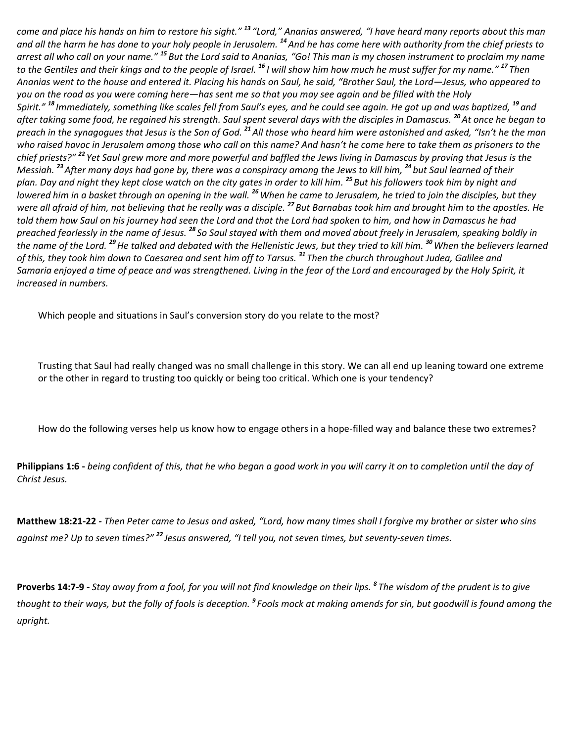*come and place his hands on him to restore his sight." <sup>13</sup> "Lord," Ananias answered, "I have heard many reports about this man and all the harm he has done to your holy people in Jerusalem. <sup>14</sup>And he has come here with authority from the chief priests to arrest all who call on your name." <sup>15</sup> But the Lord said to Ananias, "Go! This man is my chosen instrument to proclaim my name to the Gentiles and their kings and to the people of Israel. <sup>16</sup> I will show him how much he must suffer for my name." <sup>17</sup> Then Ananias went to the house and entered it. Placing his hands on Saul, he said, "Brother Saul, the Lord—Jesus, who appeared to you on the road as you were coming here—has sent me so that you may see again and be filled with the Holy Spirit." <sup>18</sup> Immediately, something like scales fell from Saul's eyes, and he could see again. He got up and was baptized, <sup>19</sup> and after taking some food, he regained his strength. Saul spent several days with the disciples in Damascus. <sup>20</sup>At once he began to preach in the synagogues that Jesus is the Son of God. <sup>21</sup>All those who heard him were astonished and asked, "Isn't he the man who raised havoc in Jerusalem among those who call on this name? And hasn't he come here to take them as prisoners to the chief priests?" <sup>22</sup> Yet Saul grew more and more powerful and baffled the Jews living in Damascus by proving that Jesus is the Messiah. <sup>23</sup>After many days had gone by, there was a conspiracy among the Jews to kill him, <sup>24</sup> but Saul learned of their plan. Day and night they kept close watch on the city gates in order to kill him. <sup>25</sup> But his followers took him by night and lowered him in a basket through an opening in the wall. <sup>26</sup>When he came to Jerusalem, he tried to join the disciples, but they were all afraid of him, not believing that he really was a disciple. <sup>27</sup> But Barnabas took him and brought him to the apostles. He told them how Saul on his journey had seen the Lord and that the Lord had spoken to him, and how in Damascus he had preached fearlessly in the name of Jesus. <sup>28</sup> So Saul stayed with them and moved about freely in Jerusalem, speaking boldly in the name of the Lord. <sup>29</sup>He talked and debated with the Hellenistic Jews, but they tried to kill him. <sup>30</sup>When the believers learned of this, they took him down to Caesarea and sent him off to Tarsus. <sup>31</sup> Then the church throughout Judea, Galilee and Samaria enjoyed a time of peace and was strengthened. Living in the fear of the Lord and encouraged by the Holy Spirit, it increased in numbers.*

Which people and situations in Saul's conversion story do you relate to the most?

Trusting that Saul had really changed was no small challenge in this story. We can all end up leaning toward one extreme or the other in regard to trusting too quickly or being too critical. Which one is your tendency?

How do the following verses help us know how to engage others in a hope-filled way and balance these two extremes?

**Philippians 1:6 -** *being confident of this, that he who began a good work in you will carry it on to completion until the day of Christ Jesus.*

**Matthew 18:21-22** *- Then Peter came to Jesus and asked, "Lord, how many times shall I forgive my brother or sister who sins against me? Up to seven times?" <sup>22</sup> Jesus answered, "I tell you, not seven times, but seventy-seven times.*

**Proverbs 14:7-9 -** *Stay away from a fool, for you will not find knowledge on their lips. 8 The wisdom of the prudent is to give thought to their ways, but the folly of fools is deception. 9 Fools mock at making amends for sin, but goodwill is found among the upright.*